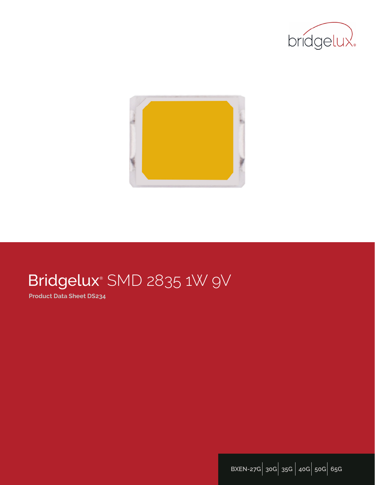



# Bridgelux® SMD 2835 1W 9V

**Product Data Sheet DS234**

**BXEN-27G**| **30G**| **35G** | **40G**| **50G**| **65G**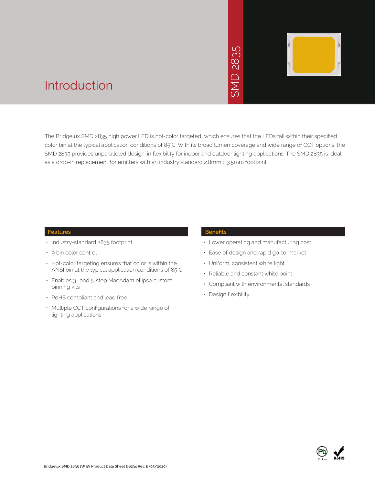

### Introduction

The Bridgelux SMD 2835 high power LED is hot-color targeted, which ensures that the LEDs fall within their specified color bin at the typical application conditions of 85°C. With its broad lumen coverage and wide range of CCT options, the SMD 2835 provides unparalleled design-in flexibility for indoor and outdoor lighting applications. The SMD 2835 is ideal as a drop-in replacement for emitters with an industry standard 2.8mm x 3.5mm footprint.<br>The Bridgelux SMD 2835 high power LED is hot-color targeted, which ensures that the LE<br>Color bin at the typical application condition

#### **Features**

- Industry-standard 2835 footprint
- 9 bin color control
- Hot-color targeting ensures that color is within the ANSI bin at the typical application conditions of 85°C
- Enables 3- and 5-step MacAdam ellipse custom binning kits
- RoHS compliant and lead free
- Multiple CCT configurations for a wide range of lighting applications

#### **Benefits**

- Lower operating and manufacturing cost
- Ease of design and rapid go-to-market
- Uniform, consistent white light
- Reliable and constant white point
- Compliant with environmental standards
- Design flexibility

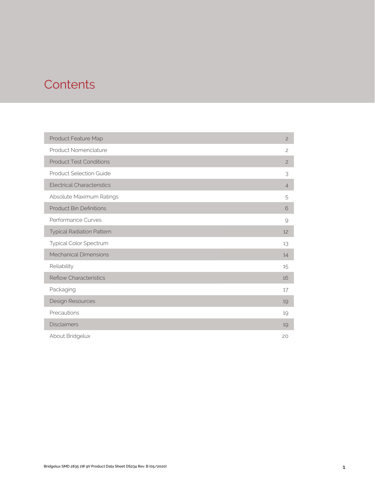### **Contents**

| Product Feature Map               | $\overline{c}$ |
|-----------------------------------|----------------|
| Product Nomenclature              | $\overline{c}$ |
| <b>Product Test Conditions</b>    | $\overline{c}$ |
| <b>Product Selection Guide</b>    | 3              |
| <b>Electrical Characteristics</b> | $\overline{4}$ |
| Absolute Maximum Ratings          | 5              |
| <b>Product Bin Definitions</b>    | 6              |
| Performance Curves                | 9              |
| <b>Typical Radiation Pattern</b>  | 12             |
| Typical Color Spectrum            | 13             |
| <b>Mechanical Dimensions</b>      | 14             |
| Reliability                       | 15             |
| <b>Reflow Characteristics</b>     | 16             |
| Packaging                         | 17             |
| Design Resources                  | 19             |
| Precautions                       | 19             |
| <b>Disclaimers</b>                | 19             |
| About Bridgelux                   | 20             |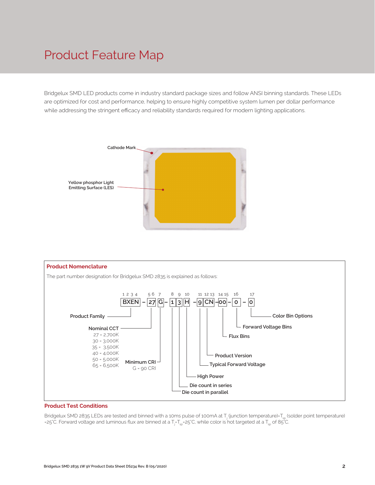## Product Feature Map

Bridgelux SMD LED products come in industry standard package sizes and follow ANSI binning standards. These LEDs are optimized for cost and performance, helping to ensure highly competitive system lumen per dollar performance while addressing the stringent efficacy and reliability standards required for modern lighting applications.





#### **Product Test Conditions**

Bridgelux SMD 2835 LEDs are tested and binned with a 10ms pulse of 100mA at T<sub>j</sub> (junction temperature)=T<sub>sp</sub> (solder point temperature) =25°C. Forward voltage and luminous flux are binned at a T<sub>j</sub>-T<sub>sp</sub>=25°C, while color is hot targeted at a T<sub>sp</sub> of 85°C.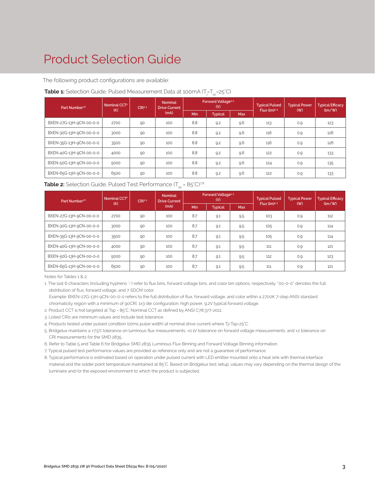# Product Selection Guide

The following product configurations are available:

#### **Table 1:** Selection Guide, Pulsed Measurement Data at 100mA (T<sub>j</sub>=T<sub>sp</sub>=25°C)

| Part Number <sup>16</sup> | Nominal CCT <sup>2</sup> | CRI3.5 | <b>Nominal</b><br><b>Drive Current</b> |            | Forward Voltage <sup>4.5</sup><br>(V) |            | <b>Typical Pulsed</b> | <b>Typical Power</b> | <b>Typical Efficacy</b> |
|---------------------------|--------------------------|--------|----------------------------------------|------------|---------------------------------------|------------|-----------------------|----------------------|-------------------------|
|                           | (K)                      |        | (mA)                                   | <b>Min</b> | <b>Typical</b>                        | <b>Max</b> | Flux $(lm)^{4.5}$     | (W)                  | (lm/W)                  |
| BXEN-27G-13H-9CN-00-0-0   | 2700                     | 90     | 100                                    | 8.8        | 9.2                                   | 9.6        | 113                   | 0.9                  | 123                     |
| BXEN-30G-13H-9CN-00-0-0   | 3000                     | 90     | 100                                    | 8.8        | 9.2                                   | 9.6        | 116                   | 0.9                  | 126                     |
| BXEN-35G-13H-9CN-00-0-0   | 3500                     | 90     | 100                                    | 8.8        | 9.2                                   | 9.6        | 116                   | 0.9                  | 126                     |
| BXEN-40G-13H-9CN-00-0-0   | 4000                     | 90     | 100                                    | 8.8        | 9.2                                   | 9.6        | 122                   | 0.9                  | 133                     |
| BXEN-50G-13H-9CN-00-0-0   | 5000                     | 90     | 100                                    | 8.8        | 9.2                                   | 9.6        | 124                   | 0.9                  | 135                     |
| BXEN-65G-13H-9CN-00-0-0   | 6500                     | 90     | 100                                    | 8.8        | 9.2                                   | 9.6        | 122                   | 0.9                  | 133                     |

#### **Table 2:** Selection Guide, Pulsed Test Performance (T<sub>sp</sub> = 85°C)<sup>78</sup>

| Part Number <sup>1,6</sup> | Nominal CCT <sup>2</sup> | CRI <sup>3.5</sup> | Forward Voltage <sup>4.5</sup><br><b>Nominal</b><br>(V)<br><b>Drive Current</b> |     |                | <b>Typical Pulsed</b> | <b>Typical Power</b> | <b>Typical Efficacy</b> |        |
|----------------------------|--------------------------|--------------------|---------------------------------------------------------------------------------|-----|----------------|-----------------------|----------------------|-------------------------|--------|
|                            | (K)                      |                    | (mA)                                                                            | Min | <b>Typical</b> | <b>Max</b>            | Flux $(lm)^{4.5}$    | (W)                     | (lm/W) |
| BXEN-27G-13H-9CN-00-0-0    | 2700                     | 90                 | 100                                                                             | 8.7 | 9.1            | 9.5                   | 103                  | 0.9                     | 112    |
| BXEN-30G-13H-9CN-00-0-0    | 3000                     | 90                 | 100                                                                             | 8.7 | 9.1            | 9.5                   | 105                  | 0.9                     | 114    |
| BXEN-35G-13H-9CN-00-0-0    | 3500                     | 90                 | 100                                                                             | 8.7 | 9.1            | 9.5                   | 105                  | 0.9                     | 114    |
| BXEN-40G-13H-9CN-00-0-0    | 4000                     | 90                 | 100                                                                             | 8.7 | 9.1            | 9.5                   | 111                  | 0.9                     | 121    |
| BXEN-50G-13H-9CN-00-0-0    | 5000                     | 90                 | 100                                                                             | 8.7 | 9.1            | 9.5                   | 112                  | 0.9                     | 123    |
| BXEN-65G-13H-9CN-00-0-0    | 6500                     | 90                 | 100                                                                             | 8.7 | 9.1            | 9.5                   | 111                  | 0.9                     | 121    |

Notes for Tables 1 & 2:

1. The last 6 characters (including hyphens '-') refer to flux bins, forward voltage bins, and color bin options, respectively. "00-0-0" denotes the full distribution of flux, forward voltage, and 7 SDCM color.

 Example: BXEN-27G-13H-9CN-00-0-0 refers to the full distribution of flux, forward voltage, and color within a 2700K 7-step ANSI standard chromaticity region with a minimum of 90CRI, 1x3 die configuration, high power, 9.2V typical forward voltage.

2. Product CCT is hot targeted at Tsp = 85°C. Nominal CCT as defined by ANSI C78.377-2011.

3. Listed CRIs are minimum values and include test tolerance.

4. Products tested under pulsed condition (10ms pulse width) at nominal drive current where Tj-Tsp=25°C.

5. Bridgelux maintains a ±7.5% tolerance on luminous flux measurements, ±0.1V tolerance on forward voltage measurements, and ±2 tolerance on CRI measurements for the SMD 2835.

6. Refer to Table 5 and Table 6 for Bridgelux SMD 2835 Luminous Flux Binning and Forward Voltage Binning information.

7. Typical pulsed test performance values are provided as reference only and are not a guarantee of performance.

8. Typical performance is estimated based on operation under pulsed current with LED emitter mounted onto a heat sink with thermal interface material and the solder point temperature maintained at 85°C. Based on Bridgelux test setup, values may vary depending on the thermal design of the luminaire and/or the exposed environment to which the product is subjected.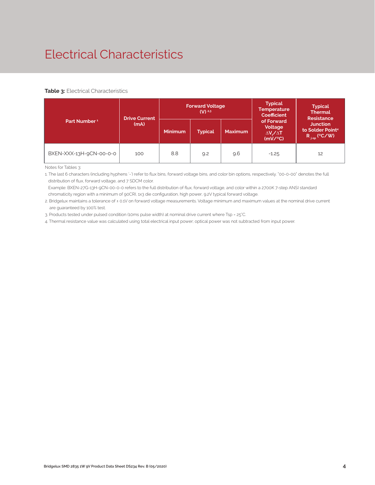# Electrical Characteristics

#### **Table 3: Electrical Characteristics**

|                          | <b>Drive Current</b> |                | <b>Forward Voltage</b><br>$(V)$ 2.3 |     | <b>Typical</b><br><b>Temperature</b><br><b>Coefficient</b> | <b>Typical</b><br><b>Thermal</b><br><b>Resistance</b>                      |  |
|--------------------------|----------------------|----------------|-------------------------------------|-----|------------------------------------------------------------|----------------------------------------------------------------------------|--|
| Part Number <sup>1</sup> | (mA)                 | <b>Minimum</b> | <b>Typical</b><br><b>Maximum</b>    |     | of Forward<br>Voltage<br>$\Delta V / \Delta T$<br>(mV/C)   | <b>Junction</b><br>to Solder Point <sup>4</sup><br>$R_{\text{isp}}$ (°C/W) |  |
| BXEN-XXX-13H-9CN-00-0-0  | 100                  | 8.8            | 9.2                                 | 9.6 | $-1.25$                                                    | 12                                                                         |  |

Notes for Tables 3:

1. The last 6 characters (including hyphens '-') refer to flux bins, forward voltage bins, and color bin options, respectively. "00-0-00" denotes the full distribution of flux, forward voltage, and 7 SDCM color.

 Example: BXEN-27G-13H-9CN-00-0-0 refers to the full distribution of flux, forward voltage, and color within a 2700K 7-step ANSI standard chromaticity region with a minimum of 90CRI, 1x3 die configuration, high power, 9.2V typical forward voltage.

2. Bridgelux maintains a tolerance of ± 0.1V on forward voltage measurements. Voltage minimum and maximum values at the nominal drive current are guaranteed by 100% test.

3. Products tested under pulsed condition (10ms pulse width) at nominal drive current where Tsp = 25°C.

4. Thermal resistance value was calculated using total electrical input power; optical power was not subtracted from input power.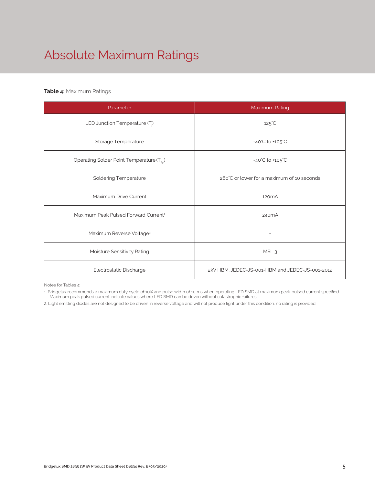# Absolute Maximum Ratings

#### **Table 4:** Maximum Ratings

| Parameter                                             | Maximum Rating                                  |
|-------------------------------------------------------|-------------------------------------------------|
| LED Junction Temperature $(T_i)$                      | $125^{\circ}$ C                                 |
| Storage Temperature                                   | $-40^{\circ}$ C to $+105^{\circ}$ C             |
| Operating Solder Point Temperature (T <sub>Sp</sub> ) | $-40^{\circ}$ C to $+105^{\circ}$ C             |
| <b>Soldering Temperature</b>                          | 260°C or lower for a maximum of 10 seconds      |
| Maximum Drive Current                                 | 120 <sub>m</sub> A                              |
| Maximum Peak Pulsed Forward Current <sup>1</sup>      | 240 <sub>m</sub> A                              |
| Maximum Reverse Voltage <sup>2</sup>                  |                                                 |
| Moisture Sensitivity Rating                           | MSL <sub>3</sub>                                |
| Electrostatic Discharge                               | 2kV HBM. JEDEC-JS-001-HBM and JEDEC-JS-001-2012 |

Notes for Tables 4:

1. Bridgelux recommends a maximum duty cycle of 10% and pulse width of 10 ms when operating LED SMD at maximum peak pulsed current specified. Maximum peak pulsed current indicate values where LED SMD can be driven without catastrophic failures.

2. Light emitting diodes are not designed to be driven in reverse voltage and will not produce light under this condition. no rating is provided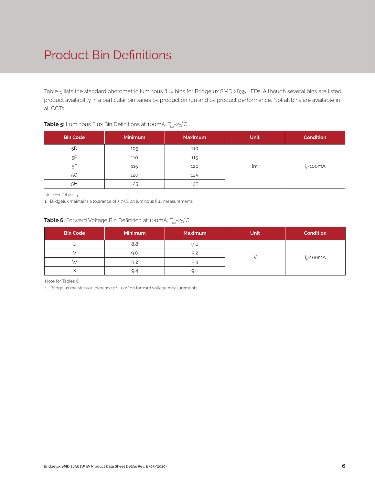# Product Bin Definitions

Table 5 lists the standard photometric luminous flux bins for Bridgelux SMD 2835 LEDs. Although several bins are listed, product availability in a particular bin varies by production run and by product performance. Not all bins are available in all CCTs.

| <b>Bin Code</b> | <b>Minimum</b> | <b>Maximum</b> | <b>Unit</b> | <b>Condition</b> |
|-----------------|----------------|----------------|-------------|------------------|
| 5D              | 105            | 110            |             |                  |
| 5E              | 110            | 115            |             |                  |
| 5F              | 115            | 120            | lm          | $I_{r}$ =100mA   |
| 5G              | 120            | 125            |             |                  |
| 5H              | 125            | 130            |             |                  |

#### **Table 5:** Luminous Flux Bin Definitions at 100mA, T<sub>sp</sub>=25°C

Note for Tables 5:

1. Bridgelux maintains a tolerance of ± 7.5% on luminous flux measurements.

#### **Table 6:** Forward Voltage Bin Definition at 100mA, T<sub>sp</sub>=25°C

| <b>Bin Code</b> | <b>Minimum</b> | <b>Maximum</b> | <b>Unit</b> | <b>Condition</b> |
|-----------------|----------------|----------------|-------------|------------------|
|                 | 8.8            | 9.0            |             |                  |
|                 | 9.0            | 9.2            |             | $I_c = 100mA$    |
| W               | 9.2            | 9.4            |             |                  |
|                 | 9.4            | 9.6            |             |                  |

Note for Tables 6:

1. Bridgelux maintains a tolerance of ± 0.1V on forward voltage measurements.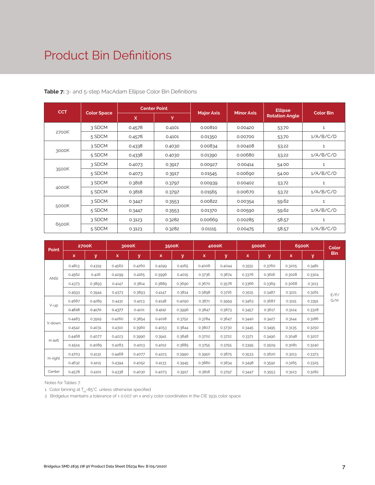## Product Bin Definitions

| <b>CCT</b> |                    | <b>Center Point</b> |        |                   |                   | <b>Ellipse</b>        |                  |
|------------|--------------------|---------------------|--------|-------------------|-------------------|-----------------------|------------------|
|            | <b>Color Space</b> | X                   | Y.     | <b>Major Axis</b> | <b>Minor Axis</b> | <b>Rotation Angle</b> | <b>Color Bin</b> |
|            | 3 SDCM             | 0.4578              | 0.4101 | 0.00810           | 0.00420           | 53.70                 | $\mathbf{1}$     |
| 2700K      | 5 SDCM             | 0.4578              | 0.4101 | 0.01350           | 0.00700           | 53.70                 | 1/A/B/C/D        |
|            | 3 SDCM             | 0.4338              | 0.4030 | 0.00834           | 0.00408           | 53.22                 | 1                |
| 3000K      | 5 SDCM             | 0.4338              | 0.4030 | 0.01390           | 0.00680           | 53.22                 | 1/A/B/C/D        |
|            | 3 SDCM             | 0.4073              | 0.3917 | 0.00927           | 0.00414           | 54.00                 | $\mathbf 1$      |
| 3500K      | 5 SDCM             | 0.4073              | 0.3917 | 0.01545           | 0.00690           | 54.00                 | 1/A/B/C/D        |
|            | 3 SDCM             | 0.3818              | 0.3797 | 0.00939           | 0.00402           | 53.72                 | $\mathbf{1}$     |
| 4000K      | 5 SDCM             | 0.3818              | 0.3797 | 0.01565           | 0.00670           | 53.72                 | 1/A/B/C/D        |
|            | 3 SDCM             | 0.3447              | 0.3553 | 0.00822           | 0.00354           | 59.62                 | 1                |
| 5000K      | 5 SDCM             | 0.3447              | 0.3553 | 0.01370           | 0.00590           | 59.62                 | 1/A/B/C/D        |
|            | 3 SDCM             | 0.3123              | 0.3282 | 0.00669           | 0.00285           | 58.57                 | 1                |
| 6500K      | 5 SDCM             | 0.3123              | 0.3282 | 0.01115           | 0.00475           | 58.57                 | 1/A/B/C/D        |

**Table 7:** 3- and 5-step MacAdam Ellipse Color Bin Definitions

| <b>Point</b> |             | 2700K  |        | 3000K  |        | 3500K  |        | 4000K  |        | 5000K  |             | 6500K  | Color      |
|--------------|-------------|--------|--------|--------|--------|--------|--------|--------|--------|--------|-------------|--------|------------|
|              | $\mathbf x$ | У      | x      | y      | X.     | У      | x      | v      | x      | У      | $\mathbf x$ | y      | <b>Bin</b> |
|              | 0.4813      | 0.4319 | 0.4562 | 0.4260 | 0.4299 | 0.4165 | 0.4006 | 0.4044 | 0.3551 | 0.3760 | 0.3205      | 0.3481 |            |
| <b>ANSI</b>  | 0.4562      | 0.426  | 0.4299 | 0.4165 | 0.3996 | 0.4015 | 0.3736 | 0.3874 | 0.3376 | 0.3616 | 0.3028      | 0.3304 |            |
|              | 0.4373      | 0.3893 | 0.4147 | 0.3814 | 0.3889 | 0.3690 | 0.3670 | 0.3578 | 0.3366 | 0.3369 | 0.3068      | 0.3113 |            |
|              | 0.4593      | 0.3944 | 0.4373 | 0.3893 | 0.4147 | 0.3814 | 0.3898 | 0.3716 | 0.3515 | 0.3487 | 0.3221      | 0.3261 | E/F/       |
|              | 0.4687      | 0.4289 | 0.4431 | 0.4213 | 0.4148 | 0.4090 | 0.3871 | 0.3959 | 0.3463 | 0.3687 | 0.3115      | 0.3391 | G/H        |
| $V$ -up      | 0.4618      | 0.4170 | 0.4377 | 0.4101 | 0.4112 | 0.3996 | 0.3847 | 0.3873 | 0.3457 | 0.3617 | 0.3124      | 0.3328 |            |
|              | 0.4483      | 0.3919 | 0.4260 | 0.3854 | 0.4018 | 0.3752 | 0.3784 | 0.3647 | 0.3440 | 0.3427 | 0.3144      | 0.3186 |            |
| V-down       | 0.4542      | 0.4031 | 0.4310 | 0.3960 | 0.4053 | 0.3844 | 0.3807 | 0.3730 | 0.3445 | 0.3495 | 0.3135      | 0.3250 |            |
|              | 0.4468      | 0.4077 | 0.4223 | 0.3990 | 0.3941 | 0.3848 | 0.3702 | 0.3722 | 0.3371 | 0.3490 | 0.3048      | 0.3207 |            |
| H-left       | 0.4524      | 0.4089 | 0.4283 | 0.4013 | 0.4012 | 0.3885 | 0.3755 | 0.3755 | 0.3395 | 0.3509 | 0.3081      | 0.3240 |            |
|              | 0.4703      | 0.4132 | 0.4468 | 0.4077 | 0.4223 | 0.3990 | 0.3950 | 0.3875 | 0.3533 | 0.3620 | 0.3213      | 0.3373 |            |
| H-right      | 0.4632      | 0.4115 | 0.4394 | 0.4052 | 0.4133 | 0.3945 | 0.3880 | 0.3834 | 0.3498 | 0.3592 | 0.3165      | 0.3325 |            |
| Center       | 0.4578      | 0.4101 | 0.4338 | 0.4030 | 0.4073 | 0.3917 | 0.3818 | 0.3797 | 0.3447 | 0.3553 | 0.3123      | 0.3282 |            |

Notes for Tables 7:

1. Color binning at  $T_{\text{ss}}$ =85°C unless otherwise specified

2. Bridgelux maintains a tolerance of ± 0.007 on x and y color coordinates in the CIE 1931 color space.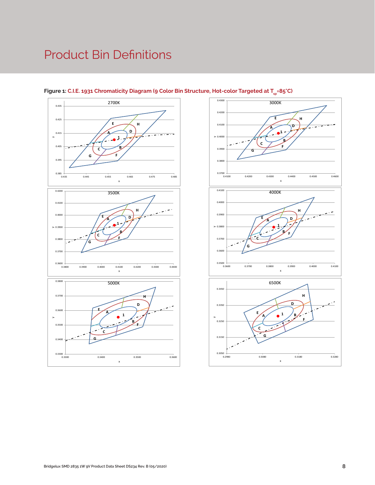# Product Bin Definitions



#### Figure 1: C.I.E. 1931 Chromaticity Diagram (9 Color Bin Structure, Hot-color Targeted at T<sub>sp</sub>=85°C)

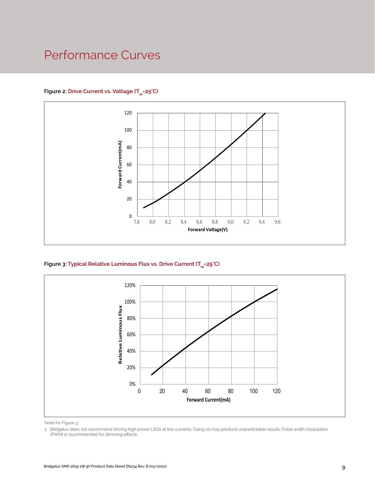### Performance Curves

#### Figure 2: Drive Current vs. Voltage (T<sub>SD</sub>=25°C)



Figure 3: Typical Relative Luminous Flux vs. Drive Current (T<sub>sp</sub>=25°C)



Note for Figure 3:

<sup>1.</sup> Bridgelux does not recommend driving high power LEDs at low currents. Doing so may produce unpredictable results. Pulse width modulation (PWM) is recommended for dimming effects.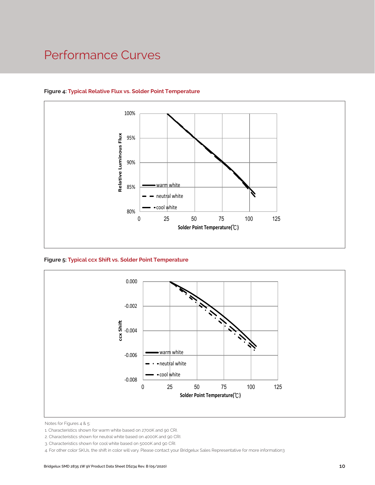### Performance Curves



#### **Figure 4: Typical Relative Flux vs. Solder Point Temperature**

**Figure 5: Typical ccx Shift vs. Solder Point Temperature**



Notes for Figures 4 & 5:

<sup>1.</sup> Characteristics shown for warm white based on 2700K and 90 CRI.

<sup>2.</sup> Characteristics shown for neutral white based on 4000K and 90 CRI.

<sup>3.</sup> Characteristics shown for cool white based on 5000K and 90 CRI.

<sup>4.</sup> For other color SKUs, the shift in color will vary. Please contact your Bridgelux Sales Representative for more information3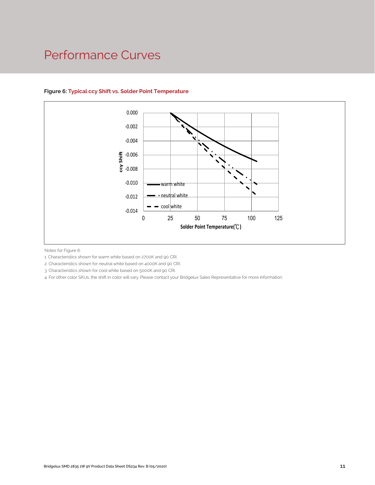### Performance Curves



#### **Figure 6: Typical ccy Shift vs. Solder Point Temperature**

Notes for Figure 6:

1. Characteristics shown for warm white based on 2700K and 90 CRI.

2. Characteristics shown for neutral white based on 4000K and 90 CRI.

3. Characteristics shown for cool white based on 5000K and 90 CRI.

4. For other color SKUs, the shift in color will vary. Please contact your Bridgelux Sales Representative for more information.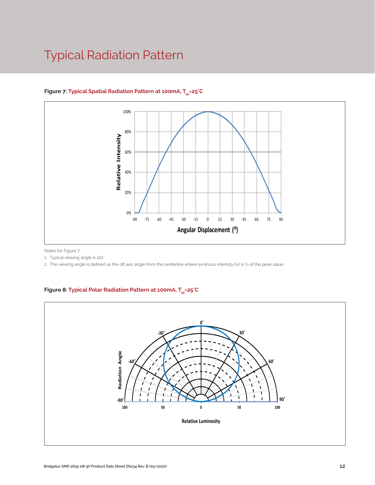## Typical Radiation Pattern



#### Figure 7: Typical Spatial Radiation Pattern at 100mA, T<sub>en</sub>=25°C

Notes for Figure 7:

1. Typical viewing angle is 120°. .

2. The viewing angle is defined as the off axis angle from the centerline where luminous intensity (Iv) is ½ of the peak value.

#### Figure 8: Typical Polar Radiation Pattern at 100mA, T<sub>sp</sub>=25°C

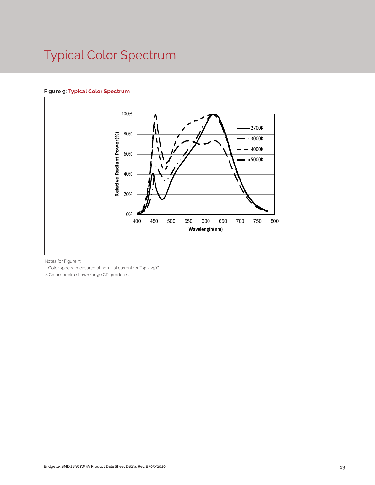# Typical Color Spectrum

#### **Figure 9: Typical Color Spectrum**



Notes for Figure 9:

1. Color spectra measured at nominal current for Tsp = 25°C

2. Color spectra shown for 90 CRI products.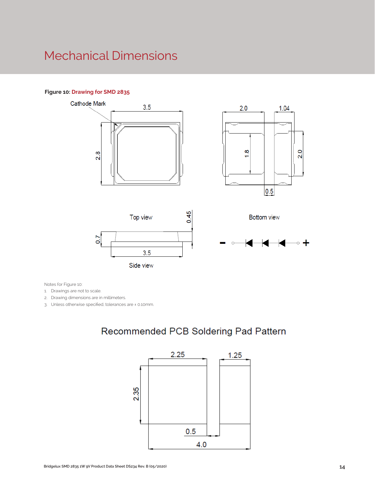### Mechanical Dimensions

#### **Figure 10: Drawing for SMD 2835**











Notes for Figure 10:

1. Drawings are not to scale.

2. Drawing dimensions are in millimeters.

3. Unless otherwise specified, tolerances are ± 0.10mm.

### Recommended PCB Soldering Pad Pattern

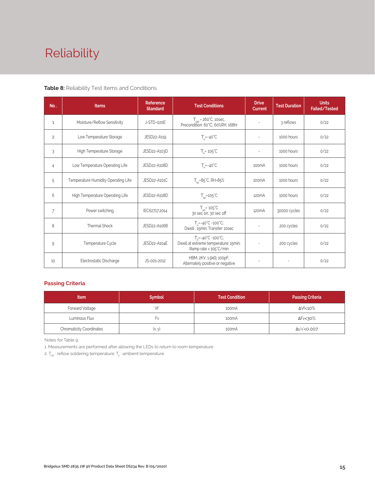# Reliability

#### **Table 8:** Reliability Test Items and Conditions

| No.            | <b>Items</b>                        | <b>Reference</b><br><b>Standard</b> | <b>Test Conditions</b>                                                                                 | <b>Drive</b><br><b>Current</b> | <b>Test Duration</b> | <b>Units</b><br>Failed/Tested |
|----------------|-------------------------------------|-------------------------------------|--------------------------------------------------------------------------------------------------------|--------------------------------|----------------------|-------------------------------|
| 1              | Moisture/Reflow Sensitivity         | J-STD-020E                          | $T_{\text{cld}}$ = 260°C, 10sec,<br>Precondition: 60°C, 60%RH, 168hr                                   | $\sim$                         | 3 reflows            | 0/22                          |
| $\overline{c}$ | Low Temperature Storage             | JESD22-A119                         | $T_a = -40^{\circ}C$                                                                                   | $\bar{a}$                      | 1000 hours           | 0/22                          |
| 3              | High Temperature Storage            | JESD22-A103D                        | $T_a = 105^{\circ}C$                                                                                   | $\sim$                         | 1000 hours           | 0/22                          |
| 4              | Low Temperature Operating Life      | JESD22-A108D                        | $T_s = -40^{\circ}C$                                                                                   | 100 <sub>m</sub> A             | 1000 hours           | 0/22                          |
| 5              | Temperature Humidity Operating Life | JESD22-A101C                        | $T_{SD} = 85^{\circ}$ C, RH=85%                                                                        | 100 <sub>m</sub> A             | 1000 hours           | 0/22                          |
| 6              | High Temperature Operating Life     | JESD22-A108D                        | $T_{\rm sn}$ =105°C                                                                                    | 120 <sub>m</sub> A             | 1000 hours           | 0/22                          |
| $\overline{7}$ | Power switching                     | IEC62717:2014                       | $T_{SD} = 105^{\circ}C$<br>30 sec on, 30 sec off                                                       | 120 <sub>m</sub> A             | 30000 cycles         | 0/22                          |
| 8              | <b>Thermal Shock</b>                | JESD22-A106B                        | $T_a = -40^{\circ}C - 100^{\circ}C$ ;<br>Dwell: 15min; Transfer: 10sec                                 | $\sim$                         | 200 cycles           | 0/22                          |
| 9              | Temperature Cycle                   | JESD22-A104E                        | $T_a = -40^{\circ}C - 100^{\circ}C$ ;<br>Dwell at extreme temperature: 15min;<br>Ramp rate < 105°C/min |                                | 200 cycles           | 0/22                          |
| 10             | Electrostatic Discharge             | JS-001-2012                         | HBM, $2KV$ , $1.5k\Omega$ , 100pF,<br>Alternately positive or negative                                 | $\overline{\phantom{a}}$       |                      | 0/22                          |

#### **Passing Criteria**

| <b>Item</b>                     | <b>Symbol</b> | <b>Test Condition</b> | <b>Passing Criteria</b> |
|---------------------------------|---------------|-----------------------|-------------------------|
| Forward Voltage                 |               | 100 <sub>m</sub> A    | ΔVf<10%                 |
| Luminous Flux                   | ۲v            | 100 <sub>m</sub> A    | ΔFν<30%                 |
| <b>Chromaticity Coordinates</b> | (x, y)        | 100 <sub>m</sub> A    | Δu'v'<0.007             |

Notes for Table 9:

1. Measurements are performed after allowing the LEDs to return to room temperature

2.  $\mathsf{T}_{\mathsf{std}}$  : reflow soldering temperature;  $\mathsf{T}_{\mathsf{a}}$  : ambient temperature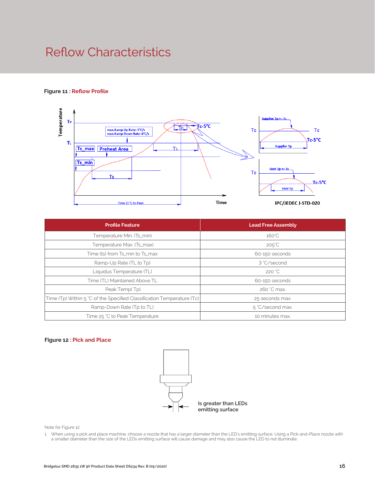### Reflow Characteristics

#### **Figure 11 : Reflow Profile**



| <b>Profile Feature</b>                                                 | <b>Lead Free Assembly</b> |
|------------------------------------------------------------------------|---------------------------|
| Temperature Min. (Ts_min)                                              | $160^{\circ}$ C           |
| Temperature Max. (Ts_max)                                              | $205^{\circ}$ C           |
| Time (ts) from Ts_min to Ts_max                                        | 60-150 seconds            |
| Ramp-Up Rate (TL to Tp)                                                | 3 °C/second               |
| Liquidus Temperature (TL)                                              | 220 °C                    |
| Time (TL) Maintained Above TL                                          | 60-150 seconds            |
| Peak Temp(Tp)                                                          | 260 °C max.               |
| Time (Tp) Within 5 °C of the Specified Classification Temperature (Tc) | 25 seconds max.           |
| Ramp-Down Rate (Tp to TL)                                              | 5 °C/second max.          |
| Time 25 °C to Peak Temperature                                         | 10 minutes max.           |

#### **Figure 12 : Pick and Place**



Note for Figure 12:

1. When using a pick and place machine, choose a nozzle that has a larger diameter than the LED's emitting surface. Using a Pick-and-Place nozzle with a smaller diameter than the size of the LEDs emitting surface will cause damage and may also cause the LED to not illuminate.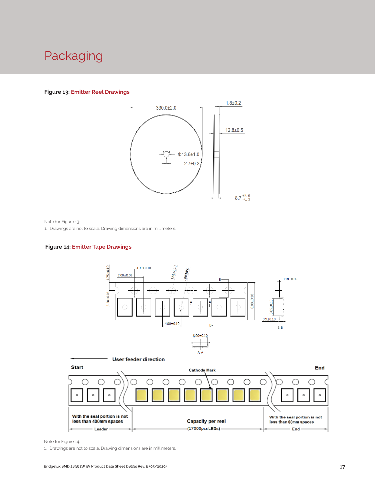### Packaging

#### **Figure 13: Emitter Reel Drawings**



Note for Figure 13:

1. Drawings are not to scale. Drawing dimensions are in millimeters.

#### **Figure 14: Emitter Tape Drawings**





Note for Figure 14:

1. Drawings are not to scale. Drawing dimensions are in millimeters.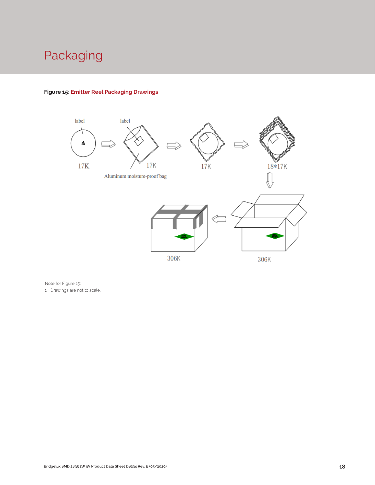# Packaging



### **Figure 15: Emitter Reel Packaging Drawings**

Note for Figure 15:

1. Drawings are not to scale.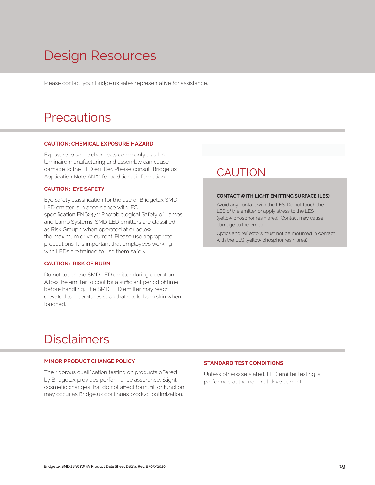# Design Resources

Please contact your Bridgelux sales representative for assistance.

### **Precautions**

#### **CAUTION: CHEMICAL EXPOSURE HAZARD**

Exposure to some chemicals commonly used in luminaire manufacturing and assembly can cause damage to the LED emitter. Please consult Bridgelux Application Note AN51 for additional information.

#### **CAUTION: EYE SAFETY**

Eye safety classification for the use of Bridgelux SMD LED emitter is in accordance with IEC specification EN62471: Photobiological Safety of Lamps and Lamp Systems. SMD LED emitters are classified as Risk Group 1 when operated at or below the maximum drive current. Please use appropriate precautions. It is important that employees working with LEDs are trained to use them safely.

#### **CAUTION: RISK OF BURN**

Do not touch the SMD LED emitter during operation. Allow the emitter to cool for a sufficient period of time before handling. The SMD LED emitter may reach elevated temperatures such that could burn skin when touched.

### **CAUTION**

#### **CONTACT WITH LIGHT EMITTING SURFACE (LES)**

Avoid any contact with the LES. Do not touch the LES of the emitter or apply stress to the LES (yellow phosphor resin area). Contact may cause damage to the emitter

Optics and reflectors must not be mounted in contact with the LES (yellow phosphor resin area).

### Disclaimers

#### **MINOR PRODUCT CHANGE POLICY**

The rigorous qualification testing on products offered by Bridgelux provides performance assurance. Slight cosmetic changes that do not affect form, fit, or function may occur as Bridgelux continues product optimization.

#### **STANDARD TEST CONDITIONS**

Unless otherwise stated, LED emitter testing is performed at the nominal drive current.